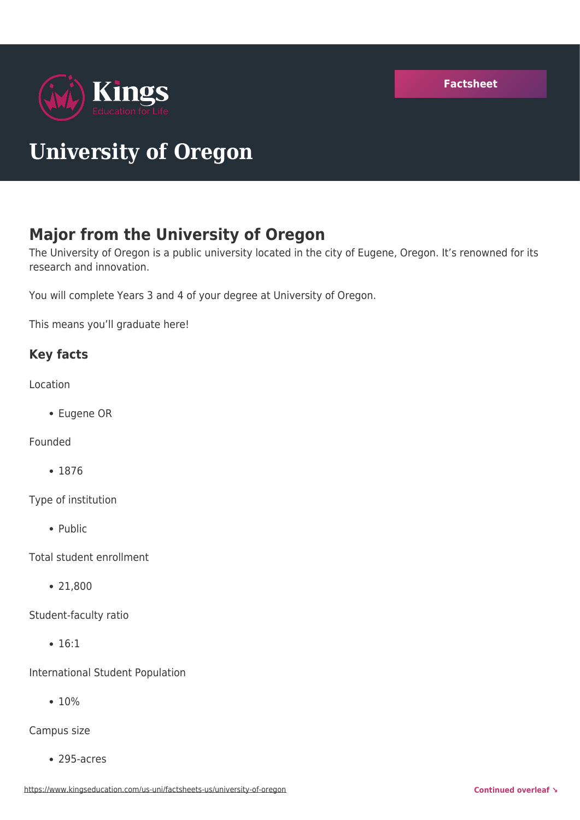

# **University of Oregon**

# **Major from the University of Oregon**

The University of Oregon is a public university located in the city of Eugene, Oregon. It's renowned for its research and innovation.

You will complete Years 3 and 4 of your degree at University of Oregon.

This means you'll graduate here!

#### **Key facts**

Location

Eugene OR

Founded

• 1876

Type of institution

• Public

Total student enrollment

21,800

Student-faculty ratio

• 16:1

International Student Population

 $• 10%$ 

Campus size

295-acres